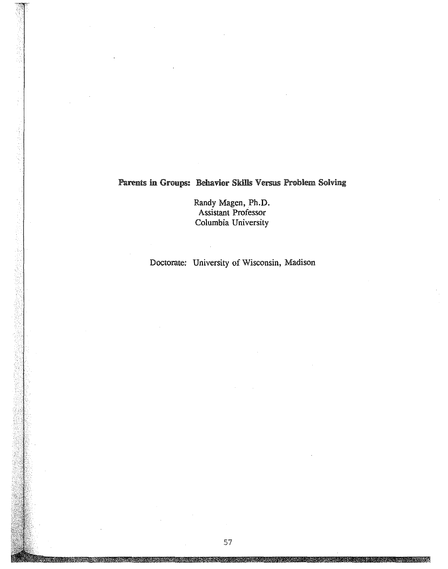# Parents in Groups: Behavior Skills Versus Problem Solving

**Randy Magen, Ph.D. Assistant Professor Columbia University**

**Doctorate: University of Wisconsin, Madison**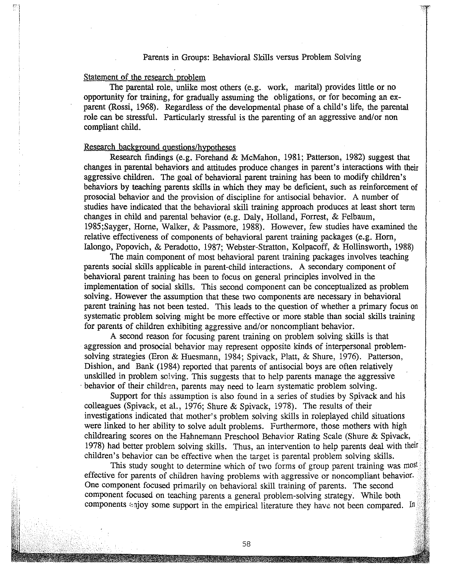#### Parents in Groups: Behavioral Skills versus Problem Solving

#### Statement of the research problem

The parental role, unlike most others (e.g. work, marital) provides little or no opportunity for training, for gradually assuming the obligations, or for becoming an exparent (Rossi, 1968). Regardless of the developmental phase of a child's life, the parental role can be stressful. Particularly stressful is the parenting of an aggressive and/or non compliant child.

#### Research background questions/hypotheses

Research findings (e.g. Forehand & McMahon, 1981; Patterson, 1982) suggest that changes in parental behaviors and attitudes produce changes in parent's interactions with their aggressive children. The goal of behavioral parent training has been to modify children's behaviors by teaching parents skills in which they may be deficient, such as reinforcement of prosocial behavior and the provision of discipline for antisocial behavior. A number of studies have indicated that the behavioral skill training approach produces at least short term changes in child and parental behavior (e.g. Daly, Holland, Forrest, & Felbaum, 1985;Sayger, Horne, Walker, & Passmore, 1988). However, few studies have examined the relative effectiveness of components of behavioral parent training packages (e.g. Horn, Ialongo, Popovich, & Peradotto, 1987; Webster-Stratton, Kolpacoff, & Hollinsworth, 1988)

The main component of most behavioral parent training packages involves teaching parents social skills applicable in parent-child interactions. A secondary component of behavioral parent training has been to focus on general principles involved in the implementation of social skills. This second component can be conceptualized as problem solving. However the assumption that these two components are necessary in behavioral parent training has not been tested. This leads to the question of whether a primary focus on systematic problem solving might be more effective or more stable than social skills training for parents of children exhibiting aggressive and/or noncompliant behavior.

A second reason for focusing parent training on problem solving skills is that aggression and prosocial behavior may represent opposite kinds of interpersonal problemsolving strategies (Eron & Huesmann, 1984; Spivack, Platt, & Shure, 1976). Patterson, Dishion, and Bank (1984) reported that parents of antisocial boys are often relatively unskilled in problem solving. This suggests that to help parents manage the aggressive behavior of their children, parents may need to learn systematic problem solving.

Support for this assumption is also found in a series of studies by Spivack and his colleagues (Spivack, et al., 1976; Shure & Spivack, 1978). The results of their investigations indicated that mother's problem solving skills in roleplayed child situations were linked to her ability to solve adult problems. Furthermore, those mothers with high childrearing scores on the Hahnemann Preschool Behavior Rating Scale (Shure & Spivack, 1978) had better problem solving skills. Thus, an intervention to help parents deal with their children's behavior can be effective when the target is parental problem solving skills.

This study sought to determine which of two forms of group parent training was most effective for parents of children having problems with aggressive or noncompliant behavior. One component focused primarily on behavioral skill training of parents. The second component focused on teaching parents a general problem-solving strategy. While both components sajoy some support in the empirical literature they have not been compared. In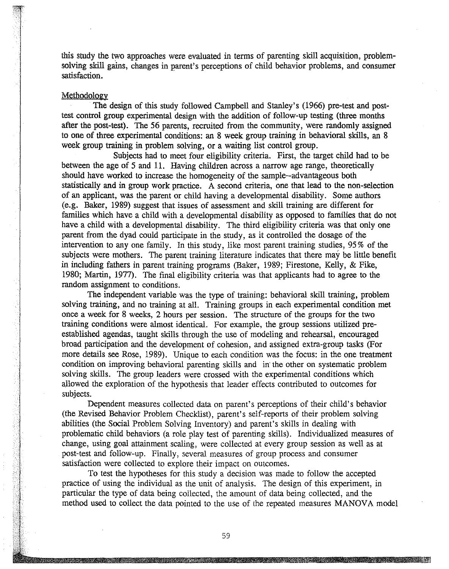this study the two approaches were evaluated in terms of parenting skill acquisition, problemsolving skill gains, changes in parent's perceptions of child behavior problems, and consumer satisfaction.

#### Methodology

The design of this study followed Campbell and Stanley's (1966) pre-test and posttest control group experimental design with the addition of follow-up testing (three months after the post-test). The 56 parents, recruited from the community, were randomly assigned to one of three experimental conditions: an 8 week group training in behavioral skills, an 8 week group training in problem solving, or a waiting list control group.

Subjects had to meet four eligibility criteria. First, the target child had to be between the age of 5 and 11. Having children across a narrow age range, theoretically should have worked to increase the homogeneity of the sample--advantageous both statistically and in group work practice. A second criteria, one that lead to the non-selection of an applicant, was the parent or child having a developmental disability. Some authors (e.g. Baker, 1989) suggest that issues of assessment and skill training are different for families which have a child with a developmental disability as opposed to families that do not have a child with a developmental disability. The third eligibility criteria was that only one parent from the dyad could participate in the study, as it controlled the dosage of the intervention to anyone family. In this study, like most parent training studies, 95 % of the subjects were mothers. The parent training literature indicates that there may be little benefit in including fathers in parent training programs (Baker, 1989; Firestone, Kelly, & Fike, 1980; Martin, 1977). The final eligibility criteria was that applicants had to agree to the random assignment to conditions.

The independent variable was the type of training: behavioral skill training, problem solving training, and no training at all. Training groups in each experimental condition met once a week for 8 weeks, 2 hours per session. The structure of the groups for the two training conditions were almost identical. For example, the group sessions utilized preestablished agendas, taught skills through the use of modeling and rehearsal, encouraged broad participation and the development of cohesion, and assigned extra-group tasks (For more details see Rose, 1989). Unique to each condition was the focus: in the one treatment condition on improving behavioral parenting skills and in' the other on systematic problem solving skills. The group leaders were crossed with the experimental conditions which allowed the exploration of the hypothesis that leader effects contributed to outcomes for subjects.

Dependent measures collected data on parent's perceptions of their child's behavior (the Revised Behavior Problem Checklist), parent's self-reports of their problem solving abilities (the Social Problem Solving Inventory) and parent's skills in dealing with problematic child behaviors (a role play test of parenting skills). Individualized measures of change, using goal attainment scaling, were collected at every group session as well as at post-test and follow-up. Finally, several measures of group process and consumer satisfaction were collected to explore their impact on outcomes.

To test the hypotheses for this study a decision was made to follow the accepted practice of using the individual as the unit of analysis. The design of this experiment, in particular the type of data being collected, the amount of data being collected, and the method used to collect the data pointed to the use of the repeated measures MANGVA model

59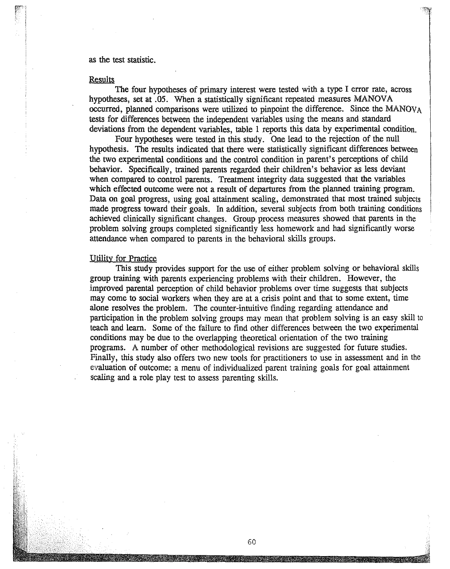#### as the test statistic.

#### **Results**

The four hypotheses of primary interest were tested with a type I error rate, across hypotheses, set at .05. When a statistically significant repeated measures MANOVA occurred, planned comparisons were utilized to pinpoint the difference. Since the MANOV<sub>A</sub> tests for differences between the independent variables using the means and standard deviations from the dependent variables, table 1 reports this data by experimental condition.

Four hypotheses were tested in this study. One lead to the rejection of the null hypothesis. The results indicated that there were statistically significant differences between the two experimental conditions and the control condition in parent's perceptions of child behavior. Specifically, trained parents regarded their children's behavior as less deviant when compared to control parents. Treatment integrity data suggested that the variables which effected outcome were not a result of departures from the planned training program. Data on goal progress, using goal attainment scaling, demonstrated that most trained subjects made progress toward their goals. In addition, several subjects from both training conditions achieved clinically significant changes. Group process measures showed that parents in the problem solving groups completed significantly less homework and had significantly worse attendance when compared to parents in the behavioral skills groups.

#### Utility for Practice

This study provides support for the use of either problem solving or behavioral skills group training with parents experiencing problems with their children. However, the improved parental perception of child behavior problems over time suggests that subjects may come to social workers when they are at a crisis point and that to some extent, time alone resolves the problem. The counter-intuitive finding regarding attendance and participation in the problem solving groups may mean that problem solving is an easy skill to teach and learn. Some of the failure to find other differences between the two experimental conditions may be due to the overlapping theoretical orientation of the two training programs. A number of other methodological revisions are suggested for future studies. Finally, this study also offers two new tools for practitioners to use in assessment and in the evaluation of outcome: a menu of individualized parent training goals for goal attainment scaling and a role play test to assess parenting skills.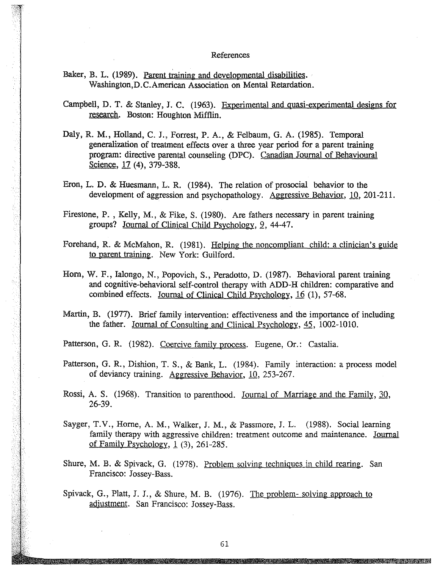#### References

Baker, B. L. (1989). Parent training and developmental disabilities. Wasbington,D.C.American Association on Mental Retardation.

Campbell, D. T. & Stanley, J. C. (1963). Experimental and quasi-experimental designs for research. Boston: Houghton Mifflin.

- Daly, R. M., Holland, C. J., Forrest, P. A., & Felbaum, G. A. (1985). Temporal generalization of treatment effects over a three year period for a parent training program: directive parental counseling (DPC). Canadian Journal of Behayioural Science, 17 (4), 379-388.
- Eron, L. D. & Huesmann, L. R. (1984). The relation of prosocial behavior to the development of aggression and psychopathology. Aggressive Behavior, 10, 201-211.
- Firestone, P. , Kelly, M., & Fike, S. (1980). Are fathers necessary in parent training groups? Journal of Clinical Child Psychology, 2, 44-47.
- Forehand, R. & McMahon, R. (1981). Helping the noncompliant child: a clinician's guide to parent training. New York: Guilford.
- Hom, W. F., Ialongo, N., Popovich, S., Peradotto, D. (1987). Behavioral parent training and cognitive-behavioral self-control therapy with ADD-H children: comparative and combined effects. Journal of Clinical Child Psychology, 16 (1), 57-68.
- Martin, B. (1977). Brief family intervention: effectiveness and the importance of including the father. Journal of Consulting and Clinical PSychology, 45, 1002-1010.

Patterson, G. R. (1982). Coercive family process. Eugene, Or.: Castalia.

Patterson, G. R., Dishion, T. S., & Bank, L. (1984). Family interaction: a process model of deviancy training. Aggressive Behavior, 10, 253-267.

Rossi, A. S. (1968). Transition to parenthood. Journal of Marriage and the Family, 30, 26-39.

- Sayger, T.V., Horne, A. M., Walker, J. M., & Passmore, J. L. (1988). Social learning family therapy with aggressive children: treatment outcome and maintenance. Journal of Family Psychology, 1 (3), 261-285.
- Shure, M. B. & Spivack, G. (1978). Problem solving techniques in child rearing. San Francisco: Jossey-Bass.
- Spivack, G., Platt, J. J., & Shure, M. B. (1976). The problem- solving approach to adjustment. San Francisco: Jossey-Bass.

ntan di Kabupatén Grégorian Kabupatén Jawa Kabupatén Jawa Kabupatén Jawa Jawa Jawa Jawa Kabupatén Jawa Jawa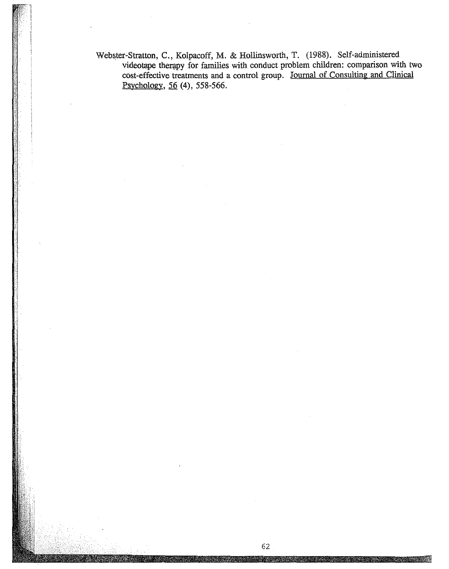Webster-Stratton, C., Kolpacoff, M. & Hollinsworth, T. (1988). Self-administered videotape therapy for families with conduct problem children: comparison with two cost-effective treatments and a control group. Journal of Consulting and Clinical Psychology, 56 (4), 558-566.

62